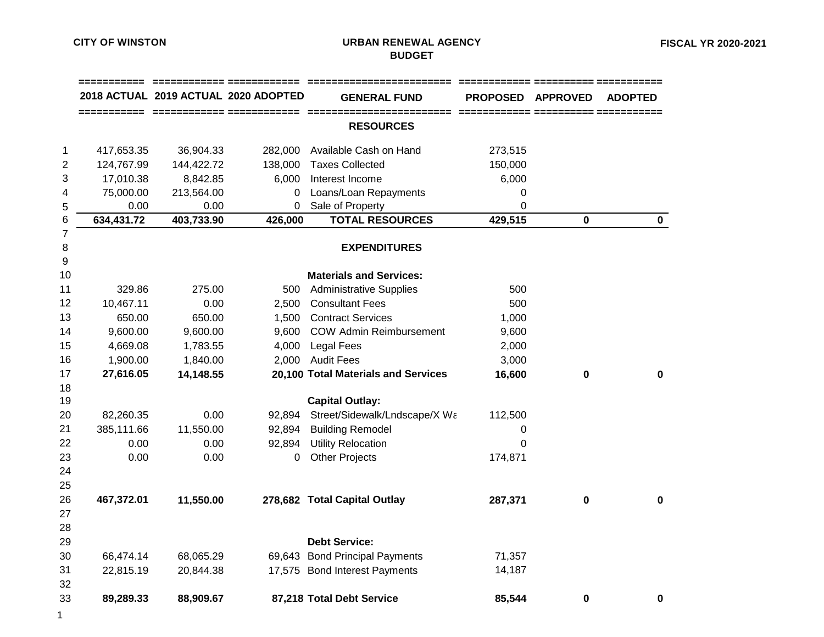## **CITY OF WINSTON URBAN RENEWAL AGENCY BUDGET**

|                         |            |            | 2018 ACTUAL 2019 ACTUAL 2020 ADOPTED | <b>GENERAL FUND</b>                 | <b>PROPOSED</b> | <b>APPROVED</b> | <b>ADOPTED</b> |
|-------------------------|------------|------------|--------------------------------------|-------------------------------------|-----------------|-----------------|----------------|
|                         |            |            |                                      | <b>RESOURCES</b>                    |                 |                 |                |
| 1                       | 417,653.35 | 36,904.33  | 282,000                              | Available Cash on Hand              | 273,515         |                 |                |
| $\overline{\mathbf{c}}$ | 124,767.99 | 144,422.72 | 138,000                              | <b>Taxes Collected</b>              | 150,000         |                 |                |
| 3                       | 17,010.38  | 8,842.85   | 6,000                                | Interest Income                     | 6,000           |                 |                |
| 4                       | 75,000.00  | 213,564.00 | 0                                    | Loans/Loan Repayments               | 0               |                 |                |
| 5                       | 0.00       | 0.00       | $\mathbf 0$                          | Sale of Property                    | 0               |                 |                |
| 6                       | 634,431.72 | 403,733.90 | 426,000                              | <b>TOTAL RESOURCES</b>              | 429,515         | 0               | $\mathbf 0$    |
| $\overline{7}$          |            |            |                                      |                                     |                 |                 |                |
| 8                       |            |            |                                      | <b>EXPENDITURES</b>                 |                 |                 |                |
| $9\,$                   |            |            |                                      |                                     |                 |                 |                |
| 10                      |            |            |                                      | <b>Materials and Services:</b>      |                 |                 |                |
| 11                      | 329.86     | 275.00     | 500                                  | <b>Administrative Supplies</b>      | 500             |                 |                |
| 12                      | 10,467.11  | 0.00       | 2,500                                | <b>Consultant Fees</b>              | 500             |                 |                |
| 13                      | 650.00     | 650.00     | 1,500                                | <b>Contract Services</b>            | 1,000           |                 |                |
| 14                      | 9,600.00   | 9,600.00   | 9,600                                | <b>COW Admin Reimbursement</b>      | 9,600           |                 |                |
| 15                      | 4,669.08   | 1,783.55   | 4,000                                | <b>Legal Fees</b>                   | 2,000           |                 |                |
| 16                      | 1,900.00   | 1,840.00   | 2,000                                | <b>Audit Fees</b>                   | 3,000           |                 |                |
| 17                      | 27,616.05  | 14,148.55  |                                      | 20,100 Total Materials and Services | 16,600          | 0               | 0              |
| 18                      |            |            |                                      |                                     |                 |                 |                |
| 19                      |            |            |                                      | <b>Capital Outlay:</b>              |                 |                 |                |
| 20                      | 82,260.35  | 0.00       | 92,894                               | Street/Sidewalk/Lndscape/X Wa       | 112,500         |                 |                |
| 21                      | 385,111.66 | 11,550.00  | 92,894                               | <b>Building Remodel</b>             | 0               |                 |                |
| 22                      | 0.00       | 0.00       | 92,894                               | <b>Utility Relocation</b>           | $\Omega$        |                 |                |
| 23                      | 0.00       | 0.00       | 0                                    | <b>Other Projects</b>               | 174,871         |                 |                |
| 24                      |            |            |                                      |                                     |                 |                 |                |
| 25                      |            |            |                                      |                                     |                 |                 |                |
| 26                      | 467,372.01 | 11,550.00  |                                      | 278,682 Total Capital Outlay        | 287,371         | 0               | 0              |
| 27                      |            |            |                                      |                                     |                 |                 |                |
| 28                      |            |            |                                      |                                     |                 |                 |                |
| 29                      |            |            |                                      | <b>Debt Service:</b>                |                 |                 |                |
| 30                      | 66,474.14  | 68,065.29  |                                      | 69,643 Bond Principal Payments      | 71,357          |                 |                |
| 31                      | 22,815.19  | 20,844.38  |                                      | 17,575 Bond Interest Payments       | 14,187          |                 |                |
| 32                      |            |            |                                      |                                     |                 |                 |                |
| 33                      | 89,289.33  | 88,909.67  |                                      | 87,218 Total Debt Service           | 85,544          | 0               | 0              |